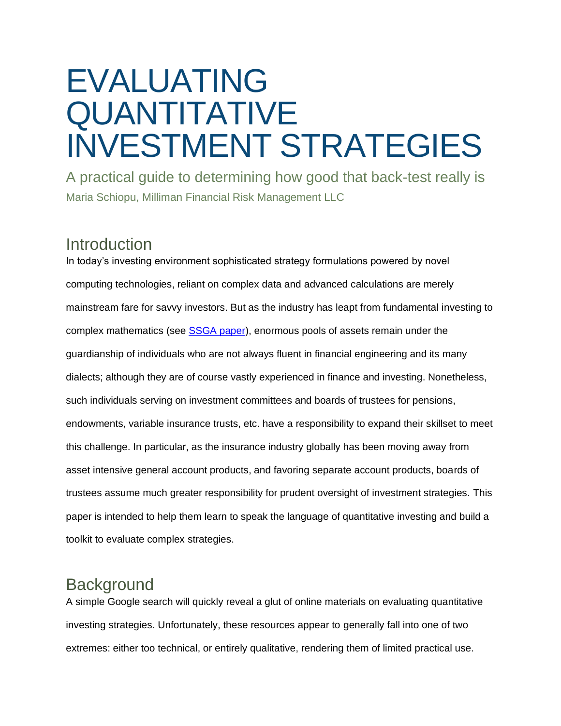# EVALUATING QUANTITATIVE INVESTMENT STRATEGIES

A practical guide to determining how good that back-test really is Maria Schiopu, Milliman Financial Risk Management LLC

### Introduction

In today's investing environment sophisticated strategy formulations powered by novel computing technologies, reliant on complex data and advanced calculations are merely mainstream fare for savvy investors. But as the industry has leapt from fundamental investing to complex mathematics (see [SSGA paper\)](https://www.ssga.com/library-content/pdfs/insights/Quant-Investing-Comparing-and-Contrasting-Part-1-of-3.pdf), enormous pools of assets remain under the guardianship of individuals who are not always fluent in financial engineering and its many dialects; although they are of course vastly experienced in finance and investing. Nonetheless, such individuals serving on investment committees and boards of trustees for pensions, endowments, variable insurance trusts, etc. have a responsibility to expand their skillset to meet this challenge. In particular, as the insurance industry globally has been moving away from asset intensive general account products, and favoring separate account products, boards of trustees assume much greater responsibility for prudent oversight of investment strategies. This paper is intended to help them learn to speak the language of quantitative investing and build a toolkit to evaluate complex strategies.

### **Background**

A simple Google search will quickly reveal a glut of online materials on evaluating quantitative investing strategies. Unfortunately, these resources appear to generally fall into one of two extremes: either too technical, or entirely qualitative, rendering them of limited practical use.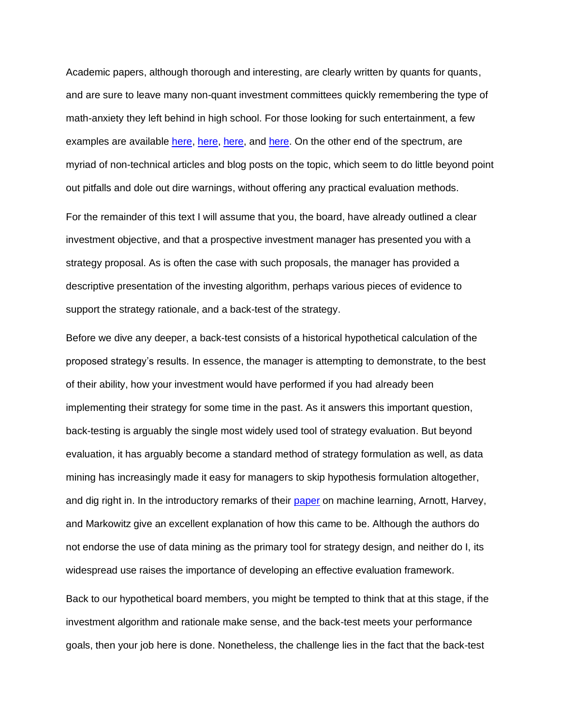Academic papers, although thorough and interesting, are clearly written by quants for quants, and are sure to leave many non-quant investment committees quickly remembering the type of math-anxiety they left behind in high school. For those looking for such entertainment, a few examples are available [here,](https://www.tandfonline.com/doi/abs/10.1080/14697688.2019.1622311) [here,](https://jpm.pm-research.com/content/43/2/90) [here,](https://www.sr-sv.com/algorithmic-strategies-managing-overfitting-bias/) and [here.](https://alphaarchitect.com/2016/06/28/backtesting-strategies-based-multiple-signals-beware-overfitting-biases/) On the other end of the spectrum, are myriad of non-technical articles and blog posts on the topic, which seem to do little beyond point out pitfalls and dole out dire warnings, without offering any practical evaluation methods.

For the remainder of this text I will assume that you, the board, have already outlined a clear investment objective, and that a prospective investment manager has presented you with a strategy proposal. As is often the case with such proposals, the manager has provided a descriptive presentation of the investing algorithm, perhaps various pieces of evidence to support the strategy rationale, and a back-test of the strategy.

Before we dive any deeper, a back-test consists of a historical hypothetical calculation of the proposed strategy's results. In essence, the manager is attempting to demonstrate, to the best of their ability, how your investment would have performed if you had already been implementing their strategy for some time in the past. As it answers this important question, back-testing is arguably the single most widely used tool of strategy evaluation. But beyond evaluation, it has arguably become a standard method of strategy formulation as well, as data mining has increasingly made it easy for managers to skip hypothesis formulation altogether, and dig right in. In the introductory remarks of their [paper](https://pdfs.semanticscholar.org/ea8d/ede934a3f4124d1a8995b8289f64a6c3d8b3.pdf) on machine learning, Arnott, Harvey, and Markowitz give an excellent explanation of how this came to be. Although the authors do not endorse the use of data mining as the primary tool for strategy design, and neither do I, its widespread use raises the importance of developing an effective evaluation framework.

Back to our hypothetical board members, you might be tempted to think that at this stage, if the investment algorithm and rationale make sense, and the back-test meets your performance goals, then your job here is done. Nonetheless, the challenge lies in the fact that the back-test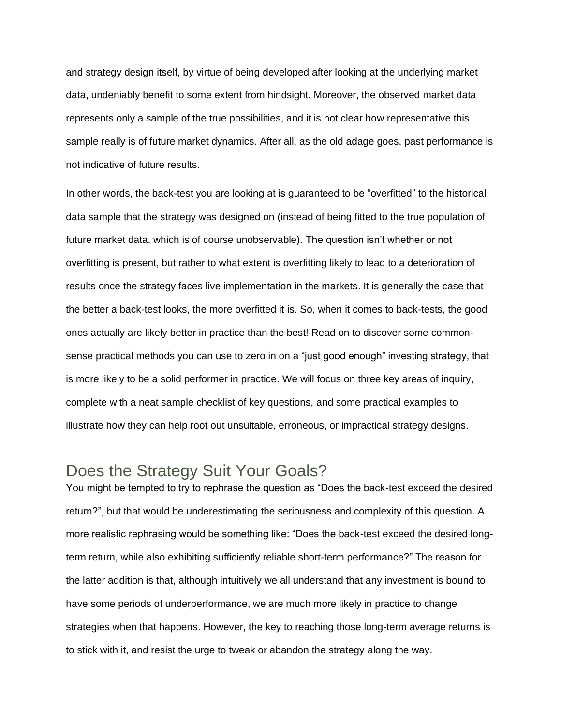and strategy design itself, by virtue of being developed after looking at the underlying market data, undeniably benefit to some extent from hindsight. Moreover, the observed market data represents only a sample of the true possibilities, and it is not clear how representative this sample really is of future market dynamics. After all, as the old adage goes, past performance is not indicative of future results.

In other words, the back-test you are looking at is guaranteed to be "overfitted" to the historical data sample that the strategy was designed on (instead of being fitted to the true population of future market data, which is of course unobservable). The question isn't whether or not overfitting is present, but rather to what extent is overfitting likely to lead to a deterioration of results once the strategy faces live implementation in the markets. It is generally the case that the better a back-test looks, the more overfitted it is. So, when it comes to back-tests, the good ones actually are likely better in practice than the best! Read on to discover some commonsense practical methods you can use to zero in on a "just good enough" investing strategy, that is more likely to be a solid performer in practice. We will focus on three key areas of inquiry, complete with a neat sample checklist of key questions, and some practical examples to illustrate how they can help root out unsuitable, erroneous, or impractical strategy designs.

# Does the Strategy Suit Your Goals?

You might be tempted to try to rephrase the question as "Does the back-test exceed the desired return?", but that would be underestimating the seriousness and complexity of this question. A more realistic rephrasing would be something like: "Does the back-test exceed the desired longterm return, while also exhibiting sufficiently reliable short-term performance?" The reason for the latter addition is that, although intuitively we all understand that any investment is bound to have some periods of underperformance, we are much more likely in practice to change strategies when that happens. However, the key to reaching those long-term average returns is to stick with it, and resist the urge to tweak or abandon the strategy along the way.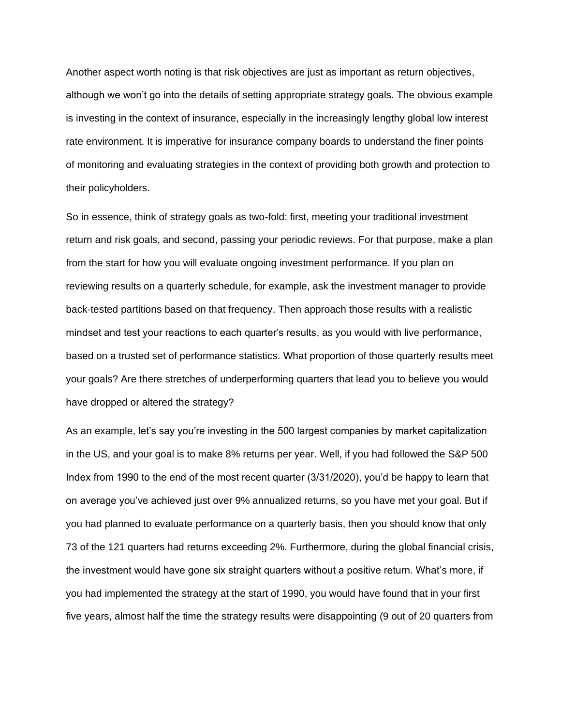Another aspect worth noting is that risk objectives are just as important as return objectives, although we won't go into the details of setting appropriate strategy goals. The obvious example is investing in the context of insurance, especially in the increasingly lengthy global low interest rate environment. It is imperative for insurance company boards to understand the finer points of monitoring and evaluating strategies in the context of providing both growth and protection to their policyholders.

So in essence, think of strategy goals as two-fold: first, meeting your traditional investment return and risk goals, and second, passing your periodic reviews. For that purpose, make a plan from the start for how you will evaluate ongoing investment performance. If you plan on reviewing results on a quarterly schedule, for example, ask the investment manager to provide back-tested partitions based on that frequency. Then approach those results with a realistic mindset and test your reactions to each quarter's results, as you would with live performance, based on a trusted set of performance statistics. What proportion of those quarterly results meet your goals? Are there stretches of underperforming quarters that lead you to believe you would have dropped or altered the strategy?

As an example, let's say you're investing in the 500 largest companies by market capitalization in the US, and your goal is to make 8% returns per year. Well, if you had followed the S&P 500 Index from 1990 to the end of the most recent quarter (3/31/2020), you'd be happy to learn that on average you've achieved just over 9% annualized returns, so you have met your goal. But if you had planned to evaluate performance on a quarterly basis, then you should know that only 73 of the 121 quarters had returns exceeding 2%. Furthermore, during the global financial crisis, the investment would have gone six straight quarters without a positive return. What's more, if you had implemented the strategy at the start of 1990, you would have found that in your first five years, almost half the time the strategy results were disappointing (9 out of 20 quarters from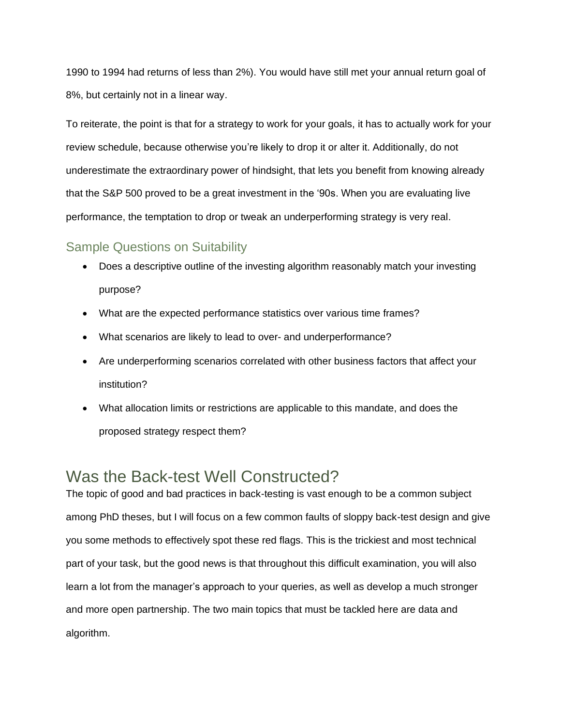1990 to 1994 had returns of less than 2%). You would have still met your annual return goal of 8%, but certainly not in a linear way.

To reiterate, the point is that for a strategy to work for your goals, it has to actually work for your review schedule, because otherwise you're likely to drop it or alter it. Additionally, do not underestimate the extraordinary power of hindsight, that lets you benefit from knowing already that the S&P 500 proved to be a great investment in the '90s. When you are evaluating live performance, the temptation to drop or tweak an underperforming strategy is very real.

#### Sample Questions on Suitability

- Does a descriptive outline of the investing algorithm reasonably match your investing purpose?
- What are the expected performance statistics over various time frames?
- What scenarios are likely to lead to over- and underperformance?
- Are underperforming scenarios correlated with other business factors that affect your institution?
- What allocation limits or restrictions are applicable to this mandate, and does the proposed strategy respect them?

## Was the Back-test Well Constructed?

The topic of good and bad practices in back-testing is vast enough to be a common subject among PhD theses, but I will focus on a few common faults of sloppy back-test design and give you some methods to effectively spot these red flags. This is the trickiest and most technical part of your task, but the good news is that throughout this difficult examination, you will also learn a lot from the manager's approach to your queries, as well as develop a much stronger and more open partnership. The two main topics that must be tackled here are data and algorithm.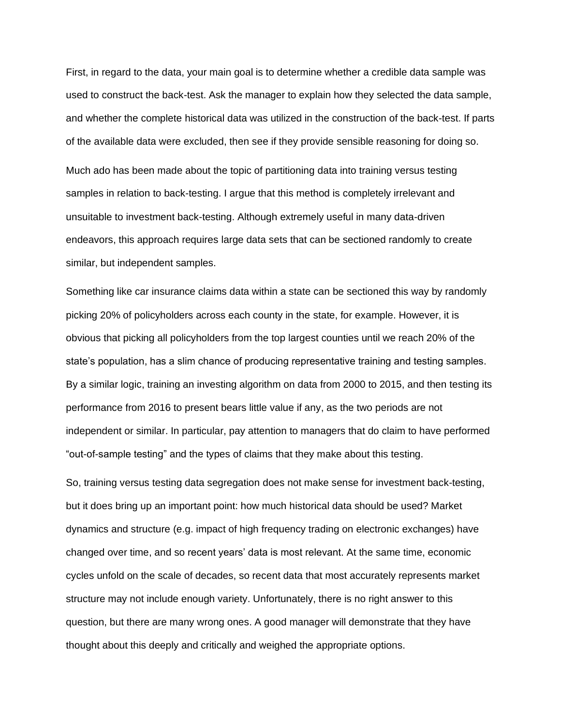First, in regard to the data, your main goal is to determine whether a credible data sample was used to construct the back-test. Ask the manager to explain how they selected the data sample, and whether the complete historical data was utilized in the construction of the back-test. If parts of the available data were excluded, then see if they provide sensible reasoning for doing so. Much ado has been made about the topic of partitioning data into training versus testing samples in relation to back-testing. I argue that this method is completely irrelevant and unsuitable to investment back-testing. Although extremely useful in many data-driven endeavors, this approach requires large data sets that can be sectioned randomly to create similar, but independent samples.

Something like car insurance claims data within a state can be sectioned this way by randomly picking 20% of policyholders across each county in the state, for example. However, it is obvious that picking all policyholders from the top largest counties until we reach 20% of the state's population, has a slim chance of producing representative training and testing samples. By a similar logic, training an investing algorithm on data from 2000 to 2015, and then testing its performance from 2016 to present bears little value if any, as the two periods are not independent or similar. In particular, pay attention to managers that do claim to have performed "out-of-sample testing" and the types of claims that they make about this testing.

So, training versus testing data segregation does not make sense for investment back-testing, but it does bring up an important point: how much historical data should be used? Market dynamics and structure (e.g. impact of high frequency trading on electronic exchanges) have changed over time, and so recent years' data is most relevant. At the same time, economic cycles unfold on the scale of decades, so recent data that most accurately represents market structure may not include enough variety. Unfortunately, there is no right answer to this question, but there are many wrong ones. A good manager will demonstrate that they have thought about this deeply and critically and weighed the appropriate options.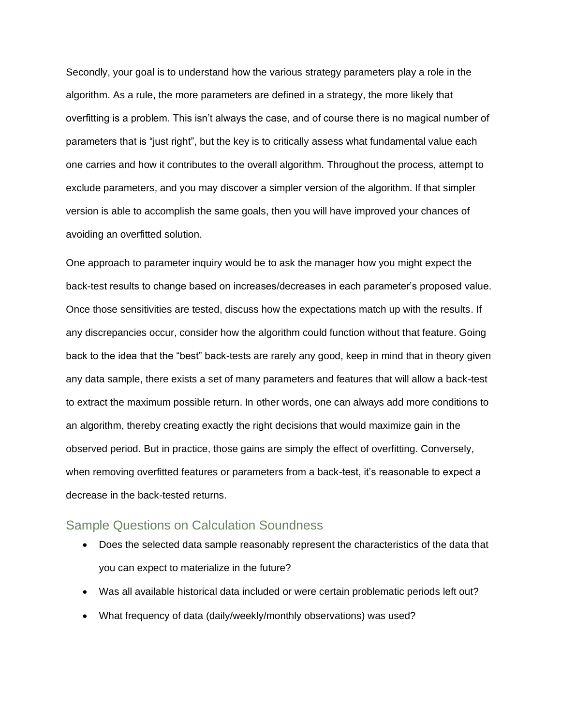Secondly, your goal is to understand how the various strategy parameters play a role in the algorithm. As a rule, the more parameters are defined in a strategy, the more likely that overfitting is a problem. This isn't always the case, and of course there is no magical number of parameters that is "just right", but the key is to critically assess what fundamental value each one carries and how it contributes to the overall algorithm. Throughout the process, attempt to exclude parameters, and you may discover a simpler version of the algorithm. If that simpler version is able to accomplish the same goals, then you will have improved your chances of avoiding an overfitted solution.

One approach to parameter inquiry would be to ask the manager how you might expect the back-test results to change based on increases/decreases in each parameter's proposed value. Once those sensitivities are tested, discuss how the expectations match up with the results. If any discrepancies occur, consider how the algorithm could function without that feature. Going back to the idea that the "best" back-tests are rarely any good, keep in mind that in theory given any data sample, there exists a set of many parameters and features that will allow a back-test to extract the maximum possible return. In other words, one can always add more conditions to an algorithm, thereby creating exactly the right decisions that would maximize gain in the observed period. But in practice, those gains are simply the effect of overfitting. Conversely, when removing overfitted features or parameters from a back-test, it's reasonable to expect a decrease in the back-tested returns.

#### Sample Questions on Calculation Soundness

- Does the selected data sample reasonably represent the characteristics of the data that you can expect to materialize in the future?
- Was all available historical data included or were certain problematic periods left out?
- What frequency of data (daily/weekly/monthly observations) was used?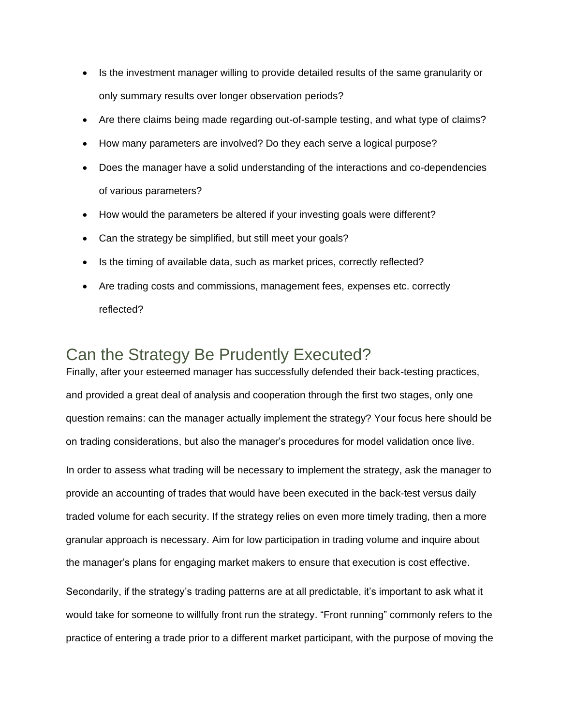- Is the investment manager willing to provide detailed results of the same granularity or only summary results over longer observation periods?
- Are there claims being made regarding out-of-sample testing, and what type of claims?
- How many parameters are involved? Do they each serve a logical purpose?
- Does the manager have a solid understanding of the interactions and co-dependencies of various parameters?
- How would the parameters be altered if your investing goals were different?
- Can the strategy be simplified, but still meet your goals?
- Is the timing of available data, such as market prices, correctly reflected?
- Are trading costs and commissions, management fees, expenses etc. correctly reflected?

## Can the Strategy Be Prudently Executed?

Finally, after your esteemed manager has successfully defended their back-testing practices, and provided a great deal of analysis and cooperation through the first two stages, only one question remains: can the manager actually implement the strategy? Your focus here should be on trading considerations, but also the manager's procedures for model validation once live.

In order to assess what trading will be necessary to implement the strategy, ask the manager to provide an accounting of trades that would have been executed in the back-test versus daily traded volume for each security. If the strategy relies on even more timely trading, then a more granular approach is necessary. Aim for low participation in trading volume and inquire about the manager's plans for engaging market makers to ensure that execution is cost effective.

Secondarily, if the strategy's trading patterns are at all predictable, it's important to ask what it would take for someone to willfully front run the strategy. "Front running" commonly refers to the practice of entering a trade prior to a different market participant, with the purpose of moving the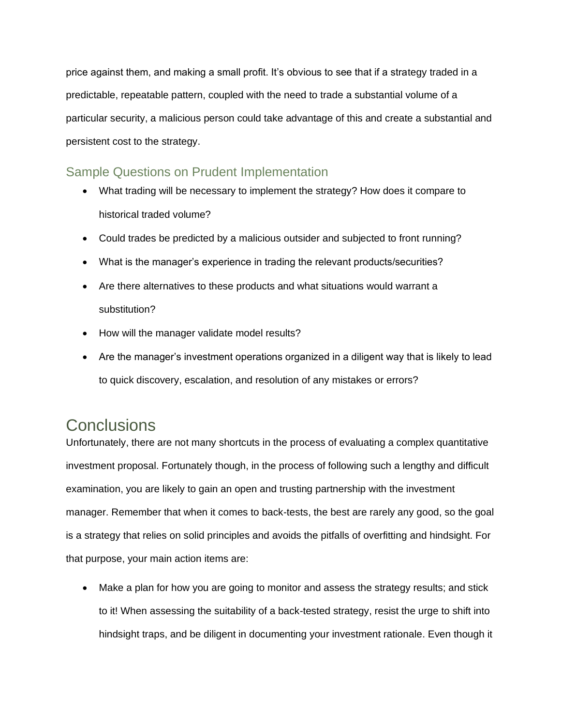price against them, and making a small profit. It's obvious to see that if a strategy traded in a predictable, repeatable pattern, coupled with the need to trade a substantial volume of a particular security, a malicious person could take advantage of this and create a substantial and persistent cost to the strategy.

#### Sample Questions on Prudent Implementation

- What trading will be necessary to implement the strategy? How does it compare to historical traded volume?
- Could trades be predicted by a malicious outsider and subjected to front running?
- What is the manager's experience in trading the relevant products/securities?
- Are there alternatives to these products and what situations would warrant a substitution?
- How will the manager validate model results?
- Are the manager's investment operations organized in a diligent way that is likely to lead to quick discovery, escalation, and resolution of any mistakes or errors?

## **Conclusions**

Unfortunately, there are not many shortcuts in the process of evaluating a complex quantitative investment proposal. Fortunately though, in the process of following such a lengthy and difficult examination, you are likely to gain an open and trusting partnership with the investment manager. Remember that when it comes to back-tests, the best are rarely any good, so the goal is a strategy that relies on solid principles and avoids the pitfalls of overfitting and hindsight. For that purpose, your main action items are:

• Make a plan for how you are going to monitor and assess the strategy results; and stick to it! When assessing the suitability of a back-tested strategy, resist the urge to shift into hindsight traps, and be diligent in documenting your investment rationale. Even though it